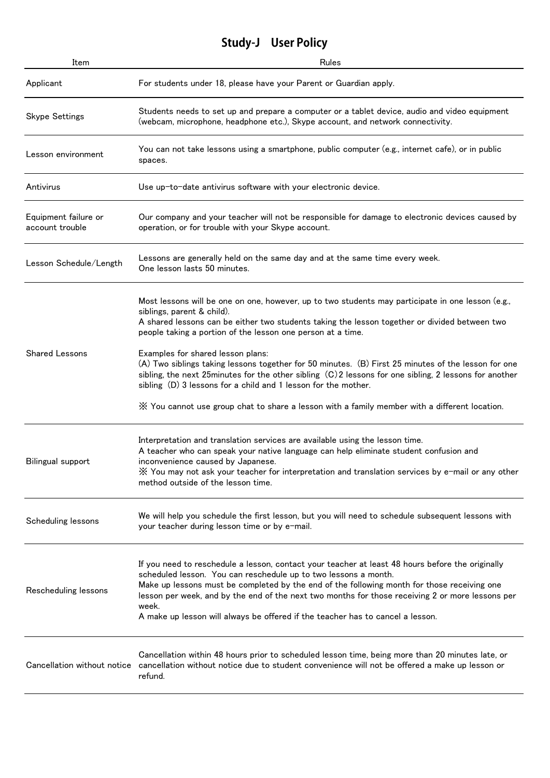## **Study-J User Policy**

| Item                                    | Rules                                                                                                                                                                                                                                                                                                                                                                                                                                                             |
|-----------------------------------------|-------------------------------------------------------------------------------------------------------------------------------------------------------------------------------------------------------------------------------------------------------------------------------------------------------------------------------------------------------------------------------------------------------------------------------------------------------------------|
| Applicant                               | For students under 18, please have your Parent or Guardian apply.                                                                                                                                                                                                                                                                                                                                                                                                 |
| <b>Skype Settings</b>                   | Students needs to set up and prepare a computer or a tablet device, audio and video equipment<br>(webcam, microphone, headphone etc.), Skype account, and network connectivity.                                                                                                                                                                                                                                                                                   |
| Lesson environment                      | You can not take lessons using a smartphone, public computer (e.g., internet cafe), or in public<br>spaces.                                                                                                                                                                                                                                                                                                                                                       |
| Antivirus                               | Use up-to-date antivirus software with your electronic device.                                                                                                                                                                                                                                                                                                                                                                                                    |
| Equipment failure or<br>account trouble | Our company and your teacher will not be responsible for damage to electronic devices caused by<br>operation, or for trouble with your Skype account.                                                                                                                                                                                                                                                                                                             |
| Lesson Schedule/Length                  | Lessons are generally held on the same day and at the same time every week.<br>One lesson lasts 50 minutes.                                                                                                                                                                                                                                                                                                                                                       |
| <b>Shared Lessons</b>                   | Most lessons will be one on one, however, up to two students may participate in one lesson (e.g.,<br>siblings, parent & child).<br>A shared lessons can be either two students taking the lesson together or divided between two<br>people taking a portion of the lesson one person at a time.                                                                                                                                                                   |
|                                         | Examples for shared lesson plans:<br>(A) Two siblings taking lessons together for 50 minutes. (B) First 25 minutes of the lesson for one<br>sibling, the next 25 minutes for the other sibling $(C)$ 2 lessons for one sibling, 2 lessons for another<br>sibling (D) 3 lessons for a child and 1 lesson for the mother.                                                                                                                                           |
|                                         | $\%$ You cannot use group chat to share a lesson with a family member with a different location.                                                                                                                                                                                                                                                                                                                                                                  |
| Bilingual support                       | Interpretation and translation services are available using the lesson time.<br>A teacher who can speak your native language can help eliminate student confusion and<br>inconvenience caused by Japanese.<br>X You may not ask your teacher for interpretation and translation services by e-mail or any other<br>method outside of the lesson time.                                                                                                             |
| Scheduling lessons                      | We will help you schedule the first lesson, but you will need to schedule subsequent lessons with<br>your teacher during lesson time or by e-mail.                                                                                                                                                                                                                                                                                                                |
| Rescheduling lessons                    | If you need to reschedule a lesson, contact your teacher at least 48 hours before the originally<br>scheduled lesson. You can reschedule up to two lessons a month.<br>Make up lessons must be completed by the end of the following month for those receiving one<br>lesson per week, and by the end of the next two months for those receiving 2 or more lessons per<br>week.<br>A make up lesson will always be offered if the teacher has to cancel a lesson. |
| Cancellation without notice             | Cancellation within 48 hours prior to scheduled lesson time, being more than 20 minutes late, or<br>cancellation without notice due to student convenience will not be offered a make up lesson or<br>refund.                                                                                                                                                                                                                                                     |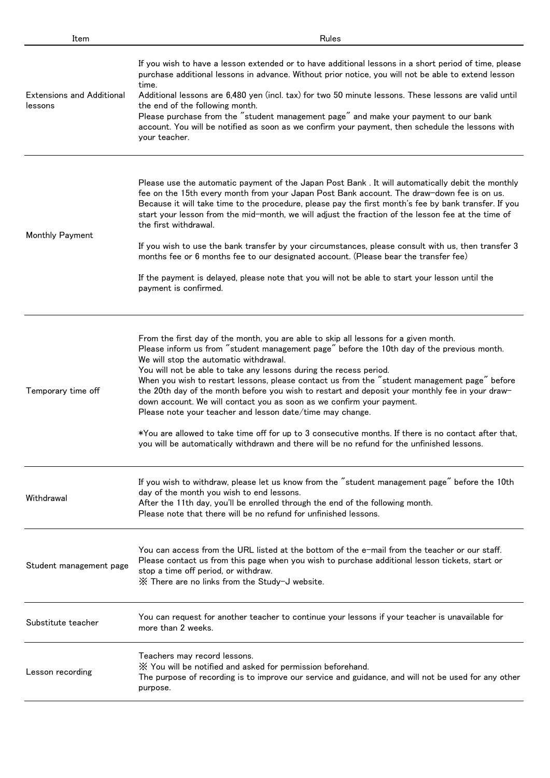| Item                                        | Rules                                                                                                                                                                                                                                                                                                                                                                                                                                                                                                                                                                                                                                                                                                                                                                                                                                               |
|---------------------------------------------|-----------------------------------------------------------------------------------------------------------------------------------------------------------------------------------------------------------------------------------------------------------------------------------------------------------------------------------------------------------------------------------------------------------------------------------------------------------------------------------------------------------------------------------------------------------------------------------------------------------------------------------------------------------------------------------------------------------------------------------------------------------------------------------------------------------------------------------------------------|
| <b>Extensions and Additional</b><br>lessons | If you wish to have a lesson extended or to have additional lessons in a short period of time, please<br>purchase additional lessons in advance. Without prior notice, you will not be able to extend lesson<br>time.<br>Additional lessons are 6,480 yen (incl. tax) for two 50 minute lessons. These lessons are valid until<br>the end of the following month.<br>Please purchase from the "student management page" and make your payment to our bank<br>account. You will be notified as soon as we confirm your payment, then schedule the lessons with<br>your teacher.                                                                                                                                                                                                                                                                      |
| Monthly Payment                             | Please use the automatic payment of the Japan Post Bank. It will automatically debit the monthly<br>fee on the 15th every month from your Japan Post Bank account. The draw-down fee is on us.<br>Because it will take time to the procedure, please pay the first month's fee by bank transfer. If you<br>start your lesson from the mid-month, we will adjust the fraction of the lesson fee at the time of<br>the first withdrawal.<br>If you wish to use the bank transfer by your circumstances, please consult with us, then transfer 3<br>months fee or 6 months fee to our designated account. (Please bear the transfer fee)<br>If the payment is delayed, please note that you will not be able to start your lesson until the<br>payment is confirmed.                                                                                   |
| Temporary time off                          | From the first day of the month, you are able to skip all lessons for a given month.<br>Please inform us from "student management page" before the 10th day of the previous month.<br>We will stop the automatic withdrawal.<br>You will not be able to take any lessons during the recess period.<br>When you wish to restart lessons, please contact us from the "student management page" before<br>the 20th day of the month before you wish to restart and deposit your monthly fee in your draw-<br>down account. We will contact you as soon as we confirm your payment.<br>Please note your teacher and lesson date/time may change.<br>*You are allowed to take time off for up to 3 consecutive months. If there is no contact after that,<br>you will be automatically withdrawn and there will be no refund for the unfinished lessons. |
| Withdrawal                                  | If you wish to withdraw, please let us know from the "student management page" before the 10th<br>day of the month you wish to end lessons.<br>After the 11th day, you'll be enrolled through the end of the following month.<br>Please note that there will be no refund for unfinished lessons.                                                                                                                                                                                                                                                                                                                                                                                                                                                                                                                                                   |
| Student management page                     | You can access from the URL listed at the bottom of the e-mail from the teacher or our staff.<br>Please contact us from this page when you wish to purchase additional lesson tickets, start or<br>stop a time off period, or withdraw.<br>X There are no links from the Study-J website.                                                                                                                                                                                                                                                                                                                                                                                                                                                                                                                                                           |
| Substitute teacher                          | You can request for another teacher to continue your lessons if your teacher is unavailable for<br>more than 2 weeks.                                                                                                                                                                                                                                                                                                                                                                                                                                                                                                                                                                                                                                                                                                                               |
| Lesson recording                            | Teachers may record lessons.<br>X You will be notified and asked for permission beforehand.<br>The purpose of recording is to improve our service and guidance, and will not be used for any other<br>purpose.                                                                                                                                                                                                                                                                                                                                                                                                                                                                                                                                                                                                                                      |